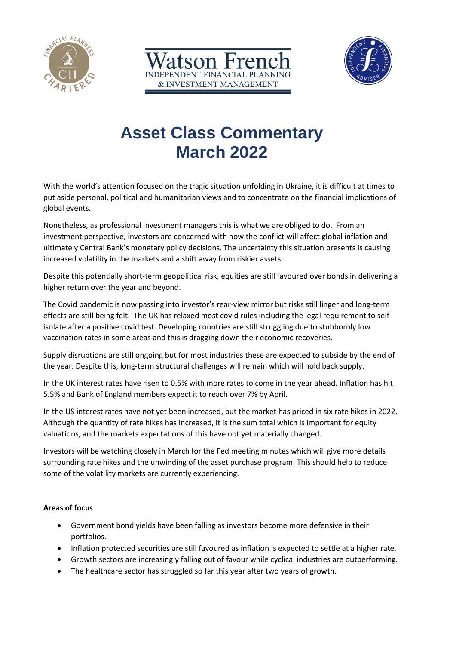





# **Asset Class Commentary March 2022**

With the world's attention focused on the tragic situation unfolding in Ukraine, it is difficult at times to put aside personal, political and humanitarian views and to concentrate on the financial implications of global events.

Nonetheless, as professional investment managers this is what we are obliged to do. From an investment perspective, investors are concerned with how the conflict will affect global inflation and ultimately Central Bank's monetary policy decisions. The uncertainty this situation presents is causing increased volatility in the markets and a shift away from riskier assets.

Despite this potentially short-term geopolitical risk, equities are still favoured over bonds in delivering a higher return over the year and beyond.

The Covid pandemic is now passing into investor's rear-view mirror but risks still linger and long-term effects are still being felt. The UK has relaxed most covid rules including the legal requirement to selfisolate after a positive covid test. Developing countries are still struggling due to stubbornly low vaccination rates in some areas and this is dragging down their economic recoveries.

Supply disruptions are still ongoing but for most industries these are expected to subside by the end of the year. Despite this, long-term structural challenges will remain which will hold back supply.

In the UK interest rates have risen to 0.5% with more rates to come in the year ahead. Inflation has hit 5.5% and Bank of England members expect it to reach over 7% by April.

In the US interest rates have not yet been increased, but the market has priced in six rate hikes in 2022. Although the quantity of rate hikes has increased, it is the sum total which is important for equity valuations, and the markets expectations of this have not yet materially changed.

Investors will be watching closely in March for the Fed meeting minutes which will give more details surrounding rate hikes and the unwinding of the asset purchase program. This should help to reduce some of the volatility markets are currently experiencing.

## **Areas of focus**

- Government bond yields have been falling as investors become more defensive in their portfolios.
- Inflation protected securities are still favoured as inflation is expected to settle at a higher rate.
- Growth sectors are increasingly falling out of favour while cyclical industries are outperforming.
- The healthcare sector has struggled so far this year after two years of growth.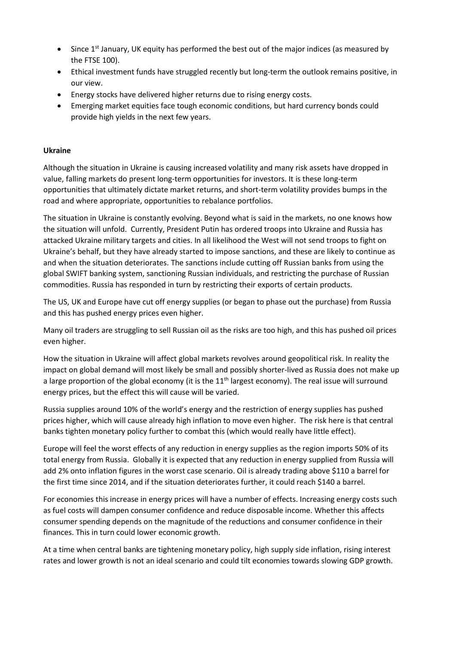- Since  $1<sup>st</sup>$  January, UK equity has performed the best out of the major indices (as measured by the FTSE 100).
- Ethical investment funds have struggled recently but long-term the outlook remains positive, in our view.
- Energy stocks have delivered higher returns due to rising energy costs.
- Emerging market equities face tough economic conditions, but hard currency bonds could provide high yields in the next few years.

## **Ukraine**

Although the situation in Ukraine is causing increased volatility and many risk assets have dropped in value, falling markets do present long-term opportunities for investors. It is these long-term opportunities that ultimately dictate market returns, and short-term volatility provides bumps in the road and where appropriate, opportunities to rebalance portfolios.

The situation in Ukraine is constantly evolving. Beyond what is said in the markets, no one knows how the situation will unfold. Currently, President Putin has ordered troops into Ukraine and Russia has attacked Ukraine military targets and cities. In all likelihood the West will not send troops to fight on Ukraine's behalf, but they have already started to impose sanctions, and these are likely to continue as and when the situation deteriorates. The sanctions include cutting off Russian banks from using the global SWIFT banking system, sanctioning Russian individuals, and restricting the purchase of Russian commodities. Russia has responded in turn by restricting their exports of certain products.

The US, UK and Europe have cut off energy supplies (or began to phase out the purchase) from Russia and this has pushed energy prices even higher.

Many oil traders are struggling to sell Russian oil as the risks are too high, and this has pushed oil prices even higher.

How the situation in Ukraine will affect global markets revolves around geopolitical risk. In reality the impact on global demand will most likely be small and possibly shorter-lived as Russia does not make up a large proportion of the global economy (it is the 11<sup>th</sup> largest economy). The real issue will surround energy prices, but the effect this will cause will be varied.

Russia supplies around 10% of the world's energy and the restriction of energy supplies has pushed prices higher, which will cause already high inflation to move even higher. The risk here is that central banks tighten monetary policy further to combat this (which would really have little effect).

Europe will feel the worst effects of any reduction in energy supplies as the region imports 50% of its total energy from Russia. Globally it is expected that any reduction in energy supplied from Russia will add 2% onto inflation figures in the worst case scenario. Oil is already trading above \$110 a barrel for the first time since 2014, and if the situation deteriorates further, it could reach \$140 a barrel.

For economies this increase in energy prices will have a number of effects. Increasing energy costs such as fuel costs will dampen consumer confidence and reduce disposable income. Whether this affects consumer spending depends on the magnitude of the reductions and consumer confidence in their finances. This in turn could lower economic growth.

At a time when central banks are tightening monetary policy, high supply side inflation, rising interest rates and lower growth is not an ideal scenario and could tilt economies towards slowing GDP growth.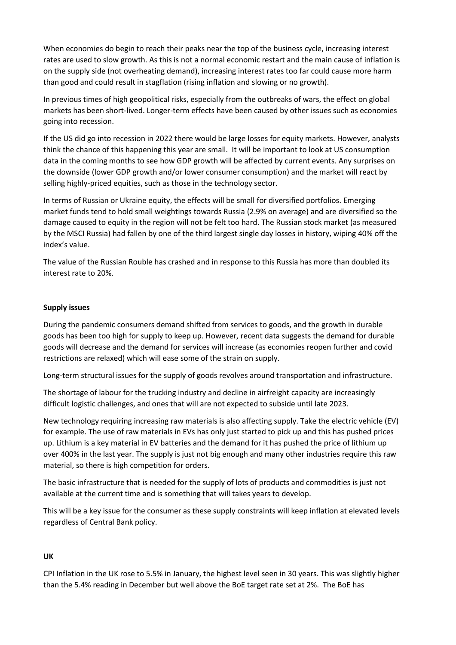When economies do begin to reach their peaks near the top of the business cycle, increasing interest rates are used to slow growth. As this is not a normal economic restart and the main cause of inflation is on the supply side (not overheating demand), increasing interest rates too far could cause more harm than good and could result in stagflation (rising inflation and slowing or no growth).

In previous times of high geopolitical risks, especially from the outbreaks of wars, the effect on global markets has been short-lived. Longer-term effects have been caused by other issues such as economies going into recession.

If the US did go into recession in 2022 there would be large losses for equity markets. However, analysts think the chance of this happening this year are small. It will be important to look at US consumption data in the coming months to see how GDP growth will be affected by current events. Any surprises on the downside (lower GDP growth and/or lower consumer consumption) and the market will react by selling highly-priced equities, such as those in the technology sector.

In terms of Russian or Ukraine equity, the effects will be small for diversified portfolios. Emerging market funds tend to hold small weightings towards Russia (2.9% on average) and are diversified so the damage caused to equity in the region will not be felt too hard. The Russian stock market (as measured by the MSCI Russia) had fallen by one of the third largest single day losses in history, wiping 40% off the index's value.

The value of the Russian Rouble has crashed and in response to this Russia has more than doubled its interest rate to 20%.

## **Supply issues**

During the pandemic consumers demand shifted from services to goods, and the growth in durable goods has been too high for supply to keep up. However, recent data suggests the demand for durable goods will decrease and the demand for services will increase (as economies reopen further and covid restrictions are relaxed) which will ease some of the strain on supply.

Long-term structural issues for the supply of goods revolves around transportation and infrastructure.

The shortage of labour for the trucking industry and decline in airfreight capacity are increasingly difficult logistic challenges, and ones that will are not expected to subside until late 2023.

New technology requiring increasing raw materials is also affecting supply. Take the electric vehicle (EV) for example. The use of raw materials in EVs has only just started to pick up and this has pushed prices up. Lithium is a key material in EV batteries and the demand for it has pushed the price of lithium up over 400% in the last year. The supply is just not big enough and many other industries require this raw material, so there is high competition for orders.

The basic infrastructure that is needed for the supply of lots of products and commodities is just not available at the current time and is something that will takes years to develop.

This will be a key issue for the consumer as these supply constraints will keep inflation at elevated levels regardless of Central Bank policy.

## **UK**

CPI Inflation in the UK rose to 5.5% in January, the highest level seen in 30 years. This was slightly higher than the 5.4% reading in December but well above the BoE target rate set at 2%. The BoE has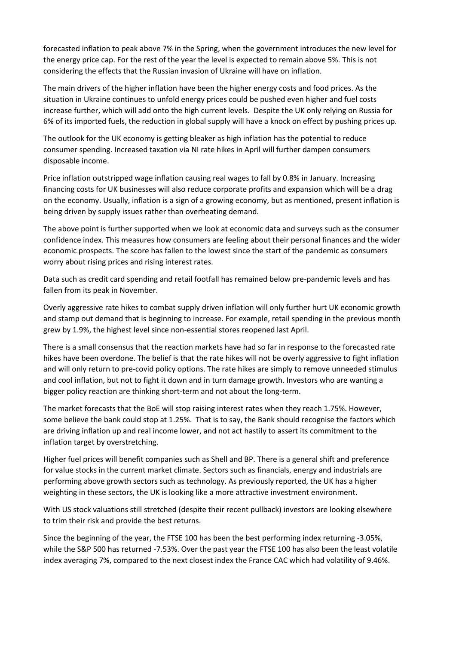forecasted inflation to peak above 7% in the Spring, when the government introduces the new level for the energy price cap. For the rest of the year the level is expected to remain above 5%. This is not considering the effects that the Russian invasion of Ukraine will have on inflation.

The main drivers of the higher inflation have been the higher energy costs and food prices. As the situation in Ukraine continues to unfold energy prices could be pushed even higher and fuel costs increase further, which will add onto the high current levels. Despite the UK only relying on Russia for 6% of its imported fuels, the reduction in global supply will have a knock on effect by pushing prices up.

The outlook for the UK economy is getting bleaker as high inflation has the potential to reduce consumer spending. Increased taxation via NI rate hikes in April will further dampen consumers disposable income.

Price inflation outstripped wage inflation causing real wages to fall by 0.8% in January. Increasing financing costs for UK businesses will also reduce corporate profits and expansion which will be a drag on the economy. Usually, inflation is a sign of a growing economy, but as mentioned, present inflation is being driven by supply issues rather than overheating demand.

The above point is further supported when we look at economic data and surveys such as the consumer confidence index. This measures how consumers are feeling about their personal finances and the wider economic prospects. The score has fallen to the lowest since the start of the pandemic as consumers worry about rising prices and rising interest rates.

Data such as credit card spending and retail footfall has remained below pre-pandemic levels and has fallen from its peak in November.

Overly aggressive rate hikes to combat supply driven inflation will only further hurt UK economic growth and stamp out demand that is beginning to increase. For example, retail spending in the previous month grew by 1.9%, the highest level since non-essential stores reopened last April.

There is a small consensus that the reaction markets have had so far in response to the forecasted rate hikes have been overdone. The belief is that the rate hikes will not be overly aggressive to fight inflation and will only return to pre-covid policy options. The rate hikes are simply to remove unneeded stimulus and cool inflation, but not to fight it down and in turn damage growth. Investors who are wanting a bigger policy reaction are thinking short-term and not about the long-term.

The market forecasts that the BoE will stop raising interest rates when they reach 1.75%. However, some believe the bank could stop at 1.25%. That is to say, the Bank should recognise the factors which are driving inflation up and real income lower, and not act hastily to assert its commitment to the inflation target by overstretching.

Higher fuel prices will benefit companies such as Shell and BP. There is a general shift and preference for value stocks in the current market climate. Sectors such as financials, energy and industrials are performing above growth sectors such as technology. As previously reported, the UK has a higher weighting in these sectors, the UK is looking like a more attractive investment environment.

With US stock valuations still stretched (despite their recent pullback) investors are looking elsewhere to trim their risk and provide the best returns.

Since the beginning of the year, the FTSE 100 has been the best performing index returning -3.05%, while the S&P 500 has returned -7.53%. Over the past year the FTSE 100 has also been the least volatile index averaging 7%, compared to the next closest index the France CAC which had volatility of 9.46%.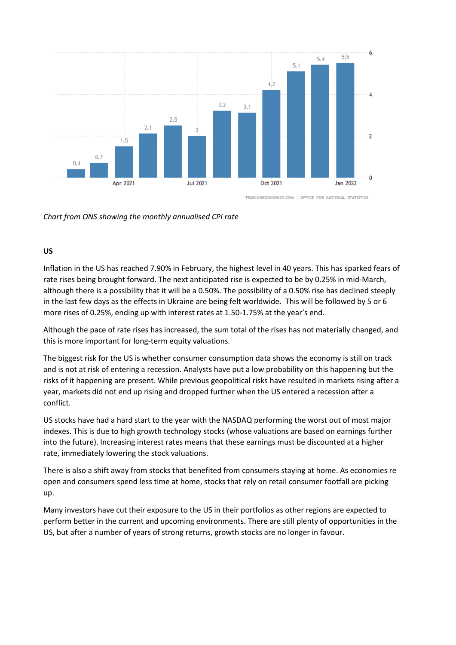

TRADINGECONOMICS.COM | OFFICE FOR NATIONAL STATISTICS

*Chart from ONS showing the monthly annualised CPI rate*

## **US**

Inflation in the US has reached 7.90% in February, the highest level in 40 years. This has sparked fears of rate rises being brought forward. The next anticipated rise is expected to be by 0.25% in mid-March, although there is a possibility that it will be a 0.50%. The possibility of a 0.50% rise has declined steeply in the last few days as the effects in Ukraine are being felt worldwide. This will be followed by 5 or 6 more rises of 0.25%, ending up with interest rates at 1.50-1.75% at the year's end.

Although the pace of rate rises has increased, the sum total of the rises has not materially changed, and this is more important for long-term equity valuations.

The biggest risk for the US is whether consumer consumption data shows the economy is still on track and is not at risk of entering a recession. Analysts have put a low probability on this happening but the risks of it happening are present. While previous geopolitical risks have resulted in markets rising after a year, markets did not end up rising and dropped further when the US entered a recession after a conflict.

US stocks have had a hard start to the year with the NASDAQ performing the worst out of most major indexes. This is due to high growth technology stocks (whose valuations are based on earnings further into the future). Increasing interest rates means that these earnings must be discounted at a higher rate, immediately lowering the stock valuations.

There is also a shift away from stocks that benefited from consumers staying at home. As economies re open and consumers spend less time at home, stocks that rely on retail consumer footfall are picking up.

Many investors have cut their exposure to the US in their portfolios as other regions are expected to perform better in the current and upcoming environments. There are still plenty of opportunities in the US, but after a number of years of strong returns, growth stocks are no longer in favour.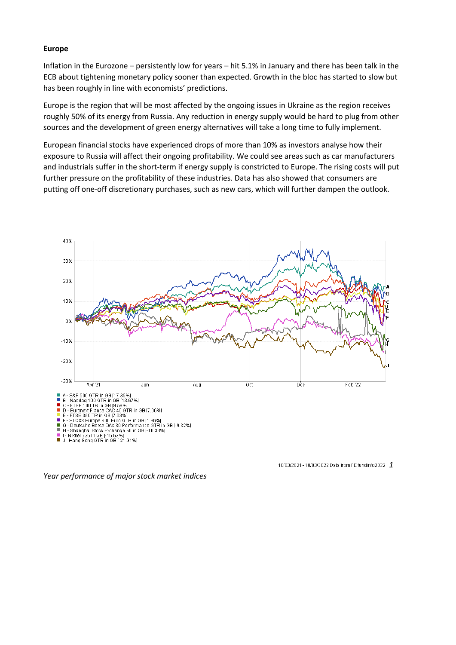#### **Europe**

Inflation in the Eurozone – persistently low for years – hit 5.1% in January and there has been talk in the ECB about tightening monetary policy sooner than expected. Growth in the bloc has started to slow but has been roughly in line with economists' predictions.

Europe is the region that will be most affected by the ongoing issues in Ukraine as the region receives roughly 50% of its energy from Russia. Any reduction in energy supply would be hard to plug from other sources and the development of green energy alternatives will take a long time to fully implement.

European financial stocks have experienced drops of more than 10% as investors analyse how their exposure to Russia will affect their ongoing profitability. We could see areas such as car manufacturers and industrials suffer in the short-term if energy supply is constricted to Europe. The rising costs will put further pressure on the profitability of these industries. Data has also showed that consumers are putting off one-off discretionary purchases, such as new cars, which will further dampen the outlook.



10/03/2021 - 10/03/2022 Data from FE fundinfo2022 1

*Year performance of major stock market indices*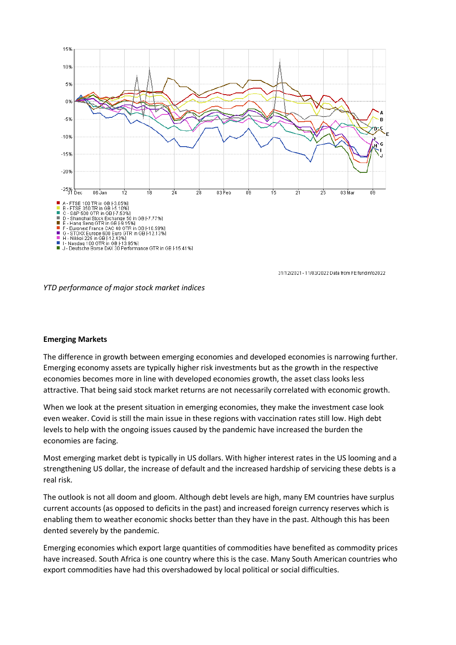

31/12/2021 - 11/03/2022 Data from FE fundinfo2022

*YTD performance of major stock market indices*

#### **Emerging Markets**

The difference in growth between emerging economies and developed economies is narrowing further. Emerging economy assets are typically higher risk investments but as the growth in the respective economies becomes more in line with developed economies growth, the asset class looks less attractive. That being said stock market returns are not necessarily correlated with economic growth.

When we look at the present situation in emerging economies, they make the investment case look even weaker. Covid is still the main issue in these regions with vaccination rates still low. High debt levels to help with the ongoing issues caused by the pandemic have increased the burden the economies are facing.

Most emerging market debt is typically in US dollars. With higher interest rates in the US looming and a strengthening US dollar, the increase of default and the increased hardship of servicing these debts is a real risk.

The outlook is not all doom and gloom. Although debt levels are high, many EM countries have surplus current accounts (as opposed to deficits in the past) and increased foreign currency reserves which is enabling them to weather economic shocks better than they have in the past. Although this has been dented severely by the pandemic.

Emerging economies which export large quantities of commodities have benefited as commodity prices have increased. South Africa is one country where this is the case. Many South American countries who export commodities have had this overshadowed by local political or social difficulties.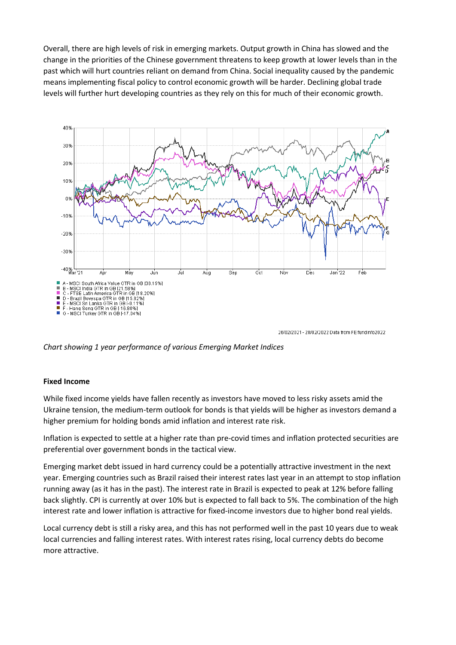Overall, there are high levels of risk in emerging markets. Output growth in China has slowed and the change in the priorities of the Chinese government threatens to keep growth at lower levels than in the past which will hurt countries reliant on demand from China. Social inequality caused by the pandemic means implementing fiscal policy to control economic growth will be harder. Declining global trade levels will further hurt developing countries as they rely on this for much of their economic growth.



26/02/2021 - 28/02/2022 Data from FE fundinfo2022

*Chart showing 1 year performance of various Emerging Market Indices*

#### **Fixed Income**

While fixed income yields have fallen recently as investors have moved to less risky assets amid the Ukraine tension, the medium-term outlook for bonds is that yields will be higher as investors demand a higher premium for holding bonds amid inflation and interest rate risk.

Inflation is expected to settle at a higher rate than pre-covid times and inflation protected securities are preferential over government bonds in the tactical view.

Emerging market debt issued in hard currency could be a potentially attractive investment in the next year. Emerging countries such as Brazil raised their interest rates last year in an attempt to stop inflation running away (as it has in the past). The interest rate in Brazil is expected to peak at 12% before falling back slightly. CPI is currently at over 10% but is expected to fall back to 5%. The combination of the high interest rate and lower inflation is attractive for fixed-income investors due to higher bond real yields.

Local currency debt is still a risky area, and this has not performed well in the past 10 years due to weak local currencies and falling interest rates. With interest rates rising, local currency debts do become more attractive.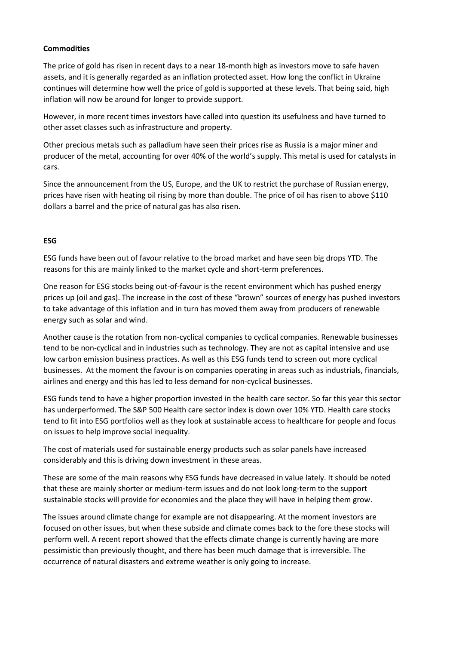## **Commodities**

The price of gold has risen in recent days to a near 18-month high as investors move to safe haven assets, and it is generally regarded as an inflation protected asset. How long the conflict in Ukraine continues will determine how well the price of gold is supported at these levels. That being said, high inflation will now be around for longer to provide support.

However, in more recent times investors have called into question its usefulness and have turned to other asset classes such as infrastructure and property.

Other precious metals such as palladium have seen their prices rise as Russia is a major miner and producer of the metal, accounting for over 40% of the world's supply. This metal is used for catalysts in cars.

Since the announcement from the US, Europe, and the UK to restrict the purchase of Russian energy, prices have risen with heating oil rising by more than double. The price of oil has risen to above \$110 dollars a barrel and the price of natural gas has also risen.

#### **ESG**

ESG funds have been out of favour relative to the broad market and have seen big drops YTD. The reasons for this are mainly linked to the market cycle and short-term preferences.

One reason for ESG stocks being out-of-favour is the recent environment which has pushed energy prices up (oil and gas). The increase in the cost of these "brown" sources of energy has pushed investors to take advantage of this inflation and in turn has moved them away from producers of renewable energy such as solar and wind.

Another cause is the rotation from non-cyclical companies to cyclical companies. Renewable businesses tend to be non-cyclical and in industries such as technology. They are not as capital intensive and use low carbon emission business practices. As well as this ESG funds tend to screen out more cyclical businesses. At the moment the favour is on companies operating in areas such as industrials, financials, airlines and energy and this has led to less demand for non-cyclical businesses.

ESG funds tend to have a higher proportion invested in the health care sector. So far this year this sector has underperformed. The S&P 500 Health care sector index is down over 10% YTD. Health care stocks tend to fit into ESG portfolios well as they look at sustainable access to healthcare for people and focus on issues to help improve social inequality.

The cost of materials used for sustainable energy products such as solar panels have increased considerably and this is driving down investment in these areas.

These are some of the main reasons why ESG funds have decreased in value lately. It should be noted that these are mainly shorter or medium-term issues and do not look long-term to the support sustainable stocks will provide for economies and the place they will have in helping them grow.

The issues around climate change for example are not disappearing. At the moment investors are focused on other issues, but when these subside and climate comes back to the fore these stocks will perform well. A recent report showed that the effects climate change is currently having are more pessimistic than previously thought, and there has been much damage that is irreversible. The occurrence of natural disasters and extreme weather is only going to increase.